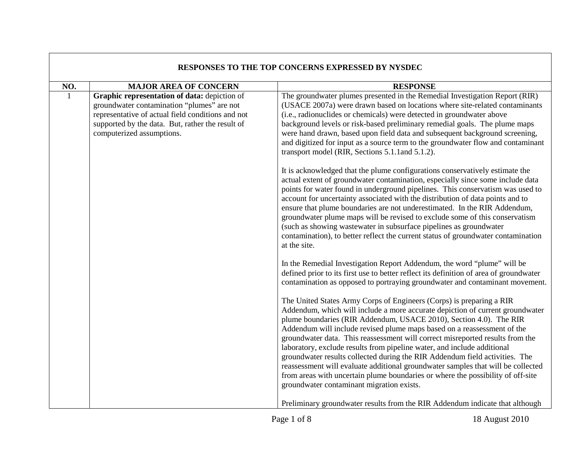| RESPONSES TO THE TOP CONCERNS EXPRESSED BY NYSDEC |                                                                                                                                                                                                                                  |                                                                                                                                                                                                                                                                                                                                                                                                                                                                                                                                                                                                                                                                                                                                                                       |
|---------------------------------------------------|----------------------------------------------------------------------------------------------------------------------------------------------------------------------------------------------------------------------------------|-----------------------------------------------------------------------------------------------------------------------------------------------------------------------------------------------------------------------------------------------------------------------------------------------------------------------------------------------------------------------------------------------------------------------------------------------------------------------------------------------------------------------------------------------------------------------------------------------------------------------------------------------------------------------------------------------------------------------------------------------------------------------|
| NO.                                               | <b>MAJOR AREA OF CONCERN</b>                                                                                                                                                                                                     | <b>RESPONSE</b>                                                                                                                                                                                                                                                                                                                                                                                                                                                                                                                                                                                                                                                                                                                                                       |
| $\overline{1}$                                    | Graphic representation of data: depiction of<br>groundwater contamination "plumes" are not<br>representative of actual field conditions and not<br>supported by the data. But, rather the result of<br>computerized assumptions. | The groundwater plumes presented in the Remedial Investigation Report (RIR)<br>(USACE 2007a) were drawn based on locations where site-related contaminants<br>(i.e., radionuclides or chemicals) were detected in groundwater above<br>background levels or risk-based preliminary remedial goals. The plume maps<br>were hand drawn, based upon field data and subsequent background screening,<br>and digitized for input as a source term to the groundwater flow and contaminant<br>transport model (RIR, Sections 5.1.1 and 5.1.2).                                                                                                                                                                                                                              |
|                                                   |                                                                                                                                                                                                                                  | It is acknowledged that the plume configurations conservatively estimate the<br>actual extent of groundwater contamination, especially since some include data<br>points for water found in underground pipelines. This conservatism was used to<br>account for uncertainty associated with the distribution of data points and to<br>ensure that plume boundaries are not underestimated. In the RIR Addendum,<br>groundwater plume maps will be revised to exclude some of this conservatism<br>(such as showing wastewater in subsurface pipelines as groundwater<br>contamination), to better reflect the current status of groundwater contamination<br>at the site.                                                                                             |
|                                                   |                                                                                                                                                                                                                                  | In the Remedial Investigation Report Addendum, the word "plume" will be<br>defined prior to its first use to better reflect its definition of area of groundwater<br>contamination as opposed to portraying groundwater and contaminant movement.                                                                                                                                                                                                                                                                                                                                                                                                                                                                                                                     |
|                                                   |                                                                                                                                                                                                                                  | The United States Army Corps of Engineers (Corps) is preparing a RIR<br>Addendum, which will include a more accurate depiction of current groundwater<br>plume boundaries (RIR Addendum, USACE 2010), Section 4.0). The RIR<br>Addendum will include revised plume maps based on a reassessment of the<br>groundwater data. This reassessment will correct misreported results from the<br>laboratory, exclude results from pipeline water, and include additional<br>groundwater results collected during the RIR Addendum field activities. The<br>reassessment will evaluate additional groundwater samples that will be collected<br>from areas with uncertain plume boundaries or where the possibility of off-site<br>groundwater contaminant migration exists. |
|                                                   |                                                                                                                                                                                                                                  | Preliminary groundwater results from the RIR Addendum indicate that although                                                                                                                                                                                                                                                                                                                                                                                                                                                                                                                                                                                                                                                                                          |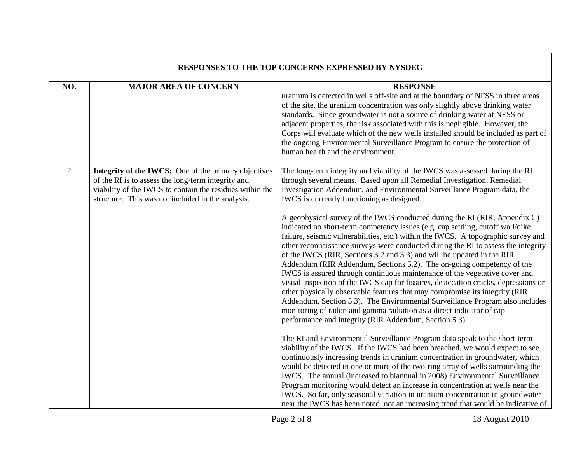| RESPONSES TO THE TOP CONCERNS EXPRESSED BY NYSDEC |                                                                                                                                                                                                                             |                                                                                                                                                                                                                                                                                                                                                                                                                                                                                                                                                                                                                                                                                                                                                                                                                                                                                                                                                                |
|---------------------------------------------------|-----------------------------------------------------------------------------------------------------------------------------------------------------------------------------------------------------------------------------|----------------------------------------------------------------------------------------------------------------------------------------------------------------------------------------------------------------------------------------------------------------------------------------------------------------------------------------------------------------------------------------------------------------------------------------------------------------------------------------------------------------------------------------------------------------------------------------------------------------------------------------------------------------------------------------------------------------------------------------------------------------------------------------------------------------------------------------------------------------------------------------------------------------------------------------------------------------|
| NO.                                               | <b>MAJOR AREA OF CONCERN</b>                                                                                                                                                                                                | <b>RESPONSE</b>                                                                                                                                                                                                                                                                                                                                                                                                                                                                                                                                                                                                                                                                                                                                                                                                                                                                                                                                                |
|                                                   |                                                                                                                                                                                                                             | uranium is detected in wells off-site and at the boundary of NFSS in three areas<br>of the site, the uranium concentration was only slightly above drinking water<br>standards. Since groundwater is not a source of drinking water at NFSS or<br>adjacent properties, the risk associated with this is negligible. However, the<br>Corps will evaluate which of the new wells installed should be included as part of<br>the ongoing Environmental Surveillance Program to ensure the protection of<br>human health and the environment.                                                                                                                                                                                                                                                                                                                                                                                                                      |
| $\overline{2}$                                    | Integrity of the IWCS: One of the primary objectives<br>of the RI is to assess the long-term integrity and<br>viability of the IWCS to contain the residues within the<br>structure. This was not included in the analysis. | The long-term integrity and viability of the IWCS was assessed during the RI<br>through several means. Based upon all Remedial Investigation, Remedial<br>Investigation Addendum, and Environmental Surveillance Program data, the<br>IWCS is currently functioning as designed.                                                                                                                                                                                                                                                                                                                                                                                                                                                                                                                                                                                                                                                                               |
|                                                   |                                                                                                                                                                                                                             | A geophysical survey of the IWCS conducted during the RI (RIR, Appendix C)<br>indicated no short-term competency issues (e.g. cap settling, cutoff wall/dike<br>failure, seismic vulnerabilities, etc.) within the IWCS. A topographic survey and<br>other reconnaissance surveys were conducted during the RI to assess the integrity<br>of the IWCS (RIR, Sections 3.2 and 3.3) and will be updated in the RIR<br>Addendum (RIR Addendum, Sections 5.2). The on-going competency of the<br>IWCS is assured through continuous maintenance of the vegetative cover and<br>visual inspection of the IWCS cap for fissures, desiccation cracks, depressions or<br>other physically observable features that may compromise its integrity (RIR<br>Addendum, Section 5.3). The Environmental Surveillance Program also includes<br>monitoring of radon and gamma radiation as a direct indicator of cap<br>performance and integrity (RIR Addendum, Section 5.3). |
|                                                   |                                                                                                                                                                                                                             | The RI and Environmental Surveillance Program data speak to the short-term<br>viability of the IWCS. If the IWCS had been breached, we would expect to see<br>continuously increasing trends in uranium concentration in groundwater, which<br>would be detected in one or more of the two-ring array of wells surrounding the<br>IWCS. The annual (increased to biannual in 2008) Environmental Surveillance<br>Program monitoring would detect an increase in concentration at wells near the<br>IWCS. So far, only seasonal variation in uranium concentration in groundwater<br>near the IWCS has been noted, not an increasing trend that would be indicative of                                                                                                                                                                                                                                                                                          |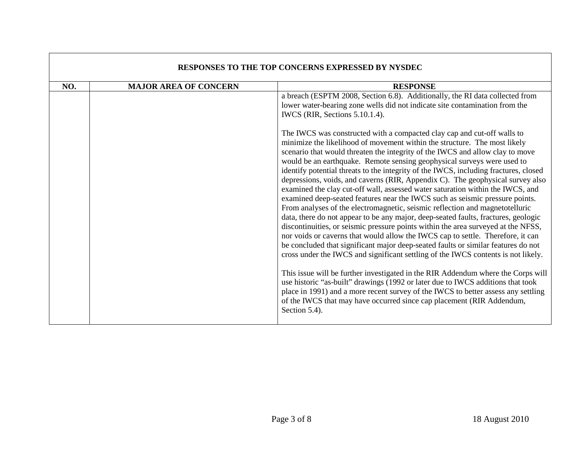| RESPONSES TO THE TOP CONCERNS EXPRESSED BY NYSDEC |                              |                                                                                                                                                                                                                                                                                                                                                                                                                                                                                                                                                                                                                                                                                                                                                                                                                                                                                                                                                                                                                                                                                                                                                                                                                                                                                                  |
|---------------------------------------------------|------------------------------|--------------------------------------------------------------------------------------------------------------------------------------------------------------------------------------------------------------------------------------------------------------------------------------------------------------------------------------------------------------------------------------------------------------------------------------------------------------------------------------------------------------------------------------------------------------------------------------------------------------------------------------------------------------------------------------------------------------------------------------------------------------------------------------------------------------------------------------------------------------------------------------------------------------------------------------------------------------------------------------------------------------------------------------------------------------------------------------------------------------------------------------------------------------------------------------------------------------------------------------------------------------------------------------------------|
| NO.                                               | <b>MAJOR AREA OF CONCERN</b> | <b>RESPONSE</b>                                                                                                                                                                                                                                                                                                                                                                                                                                                                                                                                                                                                                                                                                                                                                                                                                                                                                                                                                                                                                                                                                                                                                                                                                                                                                  |
|                                                   |                              | a breach (ESPTM 2008, Section 6.8). Additionally, the RI data collected from<br>lower water-bearing zone wells did not indicate site contamination from the<br>IWCS (RIR, Sections 5.10.1.4).<br>The IWCS was constructed with a compacted clay cap and cut-off walls to<br>minimize the likelihood of movement within the structure. The most likely<br>scenario that would threaten the integrity of the IWCS and allow clay to move<br>would be an earthquake. Remote sensing geophysical surveys were used to<br>identify potential threats to the integrity of the IWCS, including fractures, closed<br>depressions, voids, and caverns (RIR, Appendix C). The geophysical survey also<br>examined the clay cut-off wall, assessed water saturation within the IWCS, and<br>examined deep-seated features near the IWCS such as seismic pressure points.<br>From analyses of the electromagnetic, seismic reflection and magnetotelluric<br>data, there do not appear to be any major, deep-seated faults, fractures, geologic<br>discontinuities, or seismic pressure points within the area surveyed at the NFSS,<br>nor voids or caverns that would allow the IWCS cap to settle. Therefore, it can<br>be concluded that significant major deep-seated faults or similar features do not |
|                                                   |                              | cross under the IWCS and significant settling of the IWCS contents is not likely.<br>This issue will be further investigated in the RIR Addendum where the Corps will<br>use historic "as-built" drawings (1992 or later due to IWCS additions that took<br>place in 1991) and a more recent survey of the IWCS to better assess any settling<br>of the IWCS that may have occurred since cap placement (RIR Addendum,<br>Section 5.4).                                                                                                                                                                                                                                                                                                                                                                                                                                                                                                                                                                                                                                                                                                                                                                                                                                                          |

## **RESPONSES TO THE TOP CONCERNS EXPRESSED BY NYSDEC**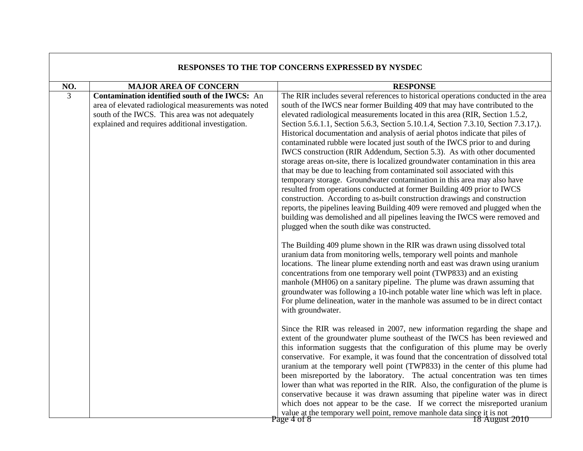| RESPONSES TO THE TOP CONCERNS EXPRESSED BY NYSDEC |                                                                                                                                                                                                               |                                                                                                                                                                                                                                                                                                                                                                                                                                                                                                                                                                                                                                                                                                                                                                                                                                                                                                                                                                                                                                                                                                                                                                                                                                                                                                                                                                                                                                                                                                                                                                                                                                                                                                                                                                                            |
|---------------------------------------------------|---------------------------------------------------------------------------------------------------------------------------------------------------------------------------------------------------------------|--------------------------------------------------------------------------------------------------------------------------------------------------------------------------------------------------------------------------------------------------------------------------------------------------------------------------------------------------------------------------------------------------------------------------------------------------------------------------------------------------------------------------------------------------------------------------------------------------------------------------------------------------------------------------------------------------------------------------------------------------------------------------------------------------------------------------------------------------------------------------------------------------------------------------------------------------------------------------------------------------------------------------------------------------------------------------------------------------------------------------------------------------------------------------------------------------------------------------------------------------------------------------------------------------------------------------------------------------------------------------------------------------------------------------------------------------------------------------------------------------------------------------------------------------------------------------------------------------------------------------------------------------------------------------------------------------------------------------------------------------------------------------------------------|
| NO.                                               | <b>MAJOR AREA OF CONCERN</b>                                                                                                                                                                                  | <b>RESPONSE</b>                                                                                                                                                                                                                                                                                                                                                                                                                                                                                                                                                                                                                                                                                                                                                                                                                                                                                                                                                                                                                                                                                                                                                                                                                                                                                                                                                                                                                                                                                                                                                                                                                                                                                                                                                                            |
| 3                                                 | Contamination identified south of the IWCS: An<br>area of elevated radiological measurements was noted<br>south of the IWCS. This area was not adequately<br>explained and requires additional investigation. | The RIR includes several references to historical operations conducted in the area<br>south of the IWCS near former Building 409 that may have contributed to the<br>elevated radiological measurements located in this area (RIR, Section 1.5.2,<br>Section 5.6.1.1, Section 5.6.3, Section 5.10.1.4, Section 7.3.10, Section 7.3.17,).<br>Historical documentation and analysis of aerial photos indicate that piles of<br>contaminated rubble were located just south of the IWCS prior to and during<br>IWCS construction (RIR Addendum, Section 5.3). As with other documented<br>storage areas on-site, there is localized groundwater contamination in this area<br>that may be due to leaching from contaminated soil associated with this<br>temporary storage. Groundwater contamination in this area may also have<br>resulted from operations conducted at former Building 409 prior to IWCS<br>construction. According to as-built construction drawings and construction<br>reports, the pipelines leaving Building 409 were removed and plugged when the<br>building was demolished and all pipelines leaving the IWCS were removed and<br>plugged when the south dike was constructed.<br>The Building 409 plume shown in the RIR was drawn using dissolved total<br>uranium data from monitoring wells, temporary well points and manhole<br>locations. The linear plume extending north and east was drawn using uranium<br>concentrations from one temporary well point (TWP833) and an existing<br>manhole (MH06) on a sanitary pipeline. The plume was drawn assuming that<br>groundwater was following a 10-inch potable water line which was left in place.<br>For plume delineation, water in the manhole was assumed to be in direct contact<br>with groundwater. |
|                                                   |                                                                                                                                                                                                               | Since the RIR was released in 2007, new information regarding the shape and<br>extent of the groundwater plume southeast of the IWCS has been reviewed and<br>this information suggests that the configuration of this plume may be overly<br>conservative. For example, it was found that the concentration of dissolved total<br>uranium at the temporary well point (TWP833) in the center of this plume had<br>been misreported by the laboratory. The actual concentration was ten times<br>lower than what was reported in the RIR. Also, the configuration of the plume is<br>conservative because it was drawn assuming that pipeline water was in direct<br>which does not appear to be the case. If we correct the misreported uranium<br>value at the temporary well point, remove manhole data since it is not<br>18 August 2010<br>Page 4 of 8                                                                                                                                                                                                                                                                                                                                                                                                                                                                                                                                                                                                                                                                                                                                                                                                                                                                                                                                |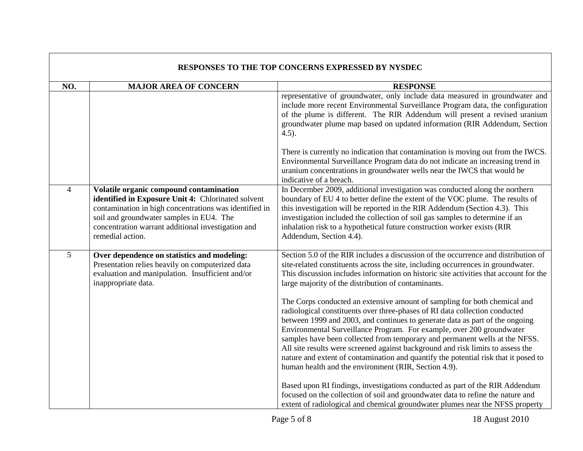| RESPONSES TO THE TOP CONCERNS EXPRESSED BY NYSDEC |                                                                                                                                                                                                                                                                               |                                                                                                                                                                                                                                                                                                                                                                                                                                                                                                                                                                                                                                                                                                                                                                                                                                                                                                                                                              |
|---------------------------------------------------|-------------------------------------------------------------------------------------------------------------------------------------------------------------------------------------------------------------------------------------------------------------------------------|--------------------------------------------------------------------------------------------------------------------------------------------------------------------------------------------------------------------------------------------------------------------------------------------------------------------------------------------------------------------------------------------------------------------------------------------------------------------------------------------------------------------------------------------------------------------------------------------------------------------------------------------------------------------------------------------------------------------------------------------------------------------------------------------------------------------------------------------------------------------------------------------------------------------------------------------------------------|
| NO.                                               | <b>MAJOR AREA OF CONCERN</b>                                                                                                                                                                                                                                                  | <b>RESPONSE</b>                                                                                                                                                                                                                                                                                                                                                                                                                                                                                                                                                                                                                                                                                                                                                                                                                                                                                                                                              |
|                                                   |                                                                                                                                                                                                                                                                               | representative of groundwater, only include data measured in groundwater and<br>include more recent Environmental Surveillance Program data, the configuration<br>of the plume is different. The RIR Addendum will present a revised uranium<br>groundwater plume map based on updated information (RIR Addendum, Section<br>$4.5$ ).                                                                                                                                                                                                                                                                                                                                                                                                                                                                                                                                                                                                                        |
|                                                   |                                                                                                                                                                                                                                                                               | There is currently no indication that contamination is moving out from the IWCS.<br>Environmental Surveillance Program data do not indicate an increasing trend in<br>uranium concentrations in groundwater wells near the IWCS that would be<br>indicative of a breach.                                                                                                                                                                                                                                                                                                                                                                                                                                                                                                                                                                                                                                                                                     |
| $\overline{4}$                                    | Volatile organic compound contamination<br>identified in Exposure Unit 4: Chlorinated solvent<br>contamination in high concentrations was identified in<br>soil and groundwater samples in EU4. The<br>concentration warrant additional investigation and<br>remedial action. | In December 2009, additional investigation was conducted along the northern<br>boundary of EU 4 to better define the extent of the VOC plume. The results of<br>this investigation will be reported in the RIR Addendum (Section 4.3). This<br>investigation included the collection of soil gas samples to determine if an<br>inhalation risk to a hypothetical future construction worker exists (RIR<br>Addendum, Section 4.4).                                                                                                                                                                                                                                                                                                                                                                                                                                                                                                                           |
| 5                                                 | Over dependence on statistics and modeling:<br>Presentation relies heavily on computerized data<br>evaluation and manipulation. Insufficient and/or<br>inappropriate data.                                                                                                    | Section 5.0 of the RIR includes a discussion of the occurrence and distribution of<br>site-related constituents across the site, including occurrences in groundwater.<br>This discussion includes information on historic site activities that account for the<br>large majority of the distribution of contaminants.<br>The Corps conducted an extensive amount of sampling for both chemical and<br>radiological constituents over three-phases of RI data collection conducted<br>between 1999 and 2003, and continues to generate data as part of the ongoing<br>Environmental Surveillance Program. For example, over 200 groundwater<br>samples have been collected from temporary and permanent wells at the NFSS.<br>All site results were screened against background and risk limits to assess the<br>nature and extent of contamination and quantify the potential risk that it posed to<br>human health and the environment (RIR, Section 4.9). |
|                                                   |                                                                                                                                                                                                                                                                               | Based upon RI findings, investigations conducted as part of the RIR Addendum<br>focused on the collection of soil and groundwater data to refine the nature and<br>extent of radiological and chemical groundwater plumes near the NFSS property                                                                                                                                                                                                                                                                                                                                                                                                                                                                                                                                                                                                                                                                                                             |

 $\Gamma$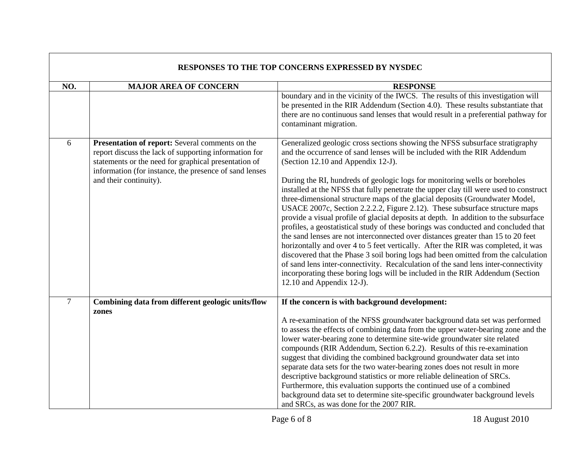| RESPONSES TO THE TOP CONCERNS EXPRESSED BY NYSDEC |                                                                                                                                                                                                                                                      |                                                                                                                                                                                                                                                                                                                                                                                                                                                                                                                                                                                                                                                                                                                                                                                                                                                                                                                                                                                                                                                                                                                                                                                       |
|---------------------------------------------------|------------------------------------------------------------------------------------------------------------------------------------------------------------------------------------------------------------------------------------------------------|---------------------------------------------------------------------------------------------------------------------------------------------------------------------------------------------------------------------------------------------------------------------------------------------------------------------------------------------------------------------------------------------------------------------------------------------------------------------------------------------------------------------------------------------------------------------------------------------------------------------------------------------------------------------------------------------------------------------------------------------------------------------------------------------------------------------------------------------------------------------------------------------------------------------------------------------------------------------------------------------------------------------------------------------------------------------------------------------------------------------------------------------------------------------------------------|
| NO.                                               | <b>MAJOR AREA OF CONCERN</b>                                                                                                                                                                                                                         | <b>RESPONSE</b>                                                                                                                                                                                                                                                                                                                                                                                                                                                                                                                                                                                                                                                                                                                                                                                                                                                                                                                                                                                                                                                                                                                                                                       |
|                                                   |                                                                                                                                                                                                                                                      | boundary and in the vicinity of the IWCS. The results of this investigation will<br>be presented in the RIR Addendum (Section 4.0). These results substantiate that<br>there are no continuous sand lenses that would result in a preferential pathway for<br>contaminant migration.                                                                                                                                                                                                                                                                                                                                                                                                                                                                                                                                                                                                                                                                                                                                                                                                                                                                                                  |
| 6                                                 | Presentation of report: Several comments on the<br>report discuss the lack of supporting information for<br>statements or the need for graphical presentation of<br>information (for instance, the presence of sand lenses<br>and their continuity). | Generalized geologic cross sections showing the NFSS subsurface stratigraphy<br>and the occurrence of sand lenses will be included with the RIR Addendum<br>(Section 12.10 and Appendix 12-J).<br>During the RI, hundreds of geologic logs for monitoring wells or boreholes<br>installed at the NFSS that fully penetrate the upper clay till were used to construct<br>three-dimensional structure maps of the glacial deposits (Groundwater Model,<br>USACE 2007c, Section 2.2.2.2, Figure 2.12). These subsurface structure maps<br>provide a visual profile of glacial deposits at depth. In addition to the subsurface<br>profiles, a geostatistical study of these borings was conducted and concluded that<br>the sand lenses are not interconnected over distances greater than 15 to 20 feet<br>horizontally and over 4 to 5 feet vertically. After the RIR was completed, it was<br>discovered that the Phase 3 soil boring logs had been omitted from the calculation<br>of sand lens inter-connectivity. Recalculation of the sand lens inter-connectivity<br>incorporating these boring logs will be included in the RIR Addendum (Section<br>12.10 and Appendix 12-J). |
| $\overline{7}$                                    | Combining data from different geologic units/flow                                                                                                                                                                                                    | If the concern is with background development:                                                                                                                                                                                                                                                                                                                                                                                                                                                                                                                                                                                                                                                                                                                                                                                                                                                                                                                                                                                                                                                                                                                                        |
|                                                   | zones                                                                                                                                                                                                                                                | A re-examination of the NFSS groundwater background data set was performed<br>to assess the effects of combining data from the upper water-bearing zone and the<br>lower water-bearing zone to determine site-wide groundwater site related<br>compounds (RIR Addendum, Section 6.2.2). Results of this re-examination<br>suggest that dividing the combined background groundwater data set into<br>separate data sets for the two water-bearing zones does not result in more<br>descriptive background statistics or more reliable delineation of SRCs.<br>Furthermore, this evaluation supports the continued use of a combined<br>background data set to determine site-specific groundwater background levels<br>and SRCs, as was done for the 2007 RIR.                                                                                                                                                                                                                                                                                                                                                                                                                        |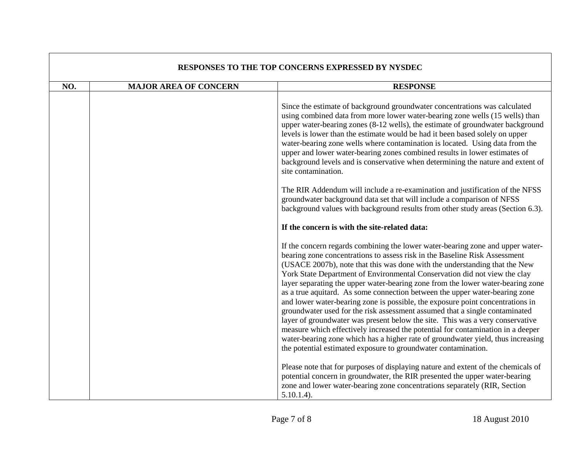| <b>RESPONSES TO THE TOP CONCERNS EXPRESSED BY NYSDEC</b> |                              |                                                                                                                                                                                                                                                                                                                                                                                                                                                                                                                                                                                                                                                                                                                                                                                                                                                                                                                                                                                      |
|----------------------------------------------------------|------------------------------|--------------------------------------------------------------------------------------------------------------------------------------------------------------------------------------------------------------------------------------------------------------------------------------------------------------------------------------------------------------------------------------------------------------------------------------------------------------------------------------------------------------------------------------------------------------------------------------------------------------------------------------------------------------------------------------------------------------------------------------------------------------------------------------------------------------------------------------------------------------------------------------------------------------------------------------------------------------------------------------|
| NO.                                                      | <b>MAJOR AREA OF CONCERN</b> | <b>RESPONSE</b>                                                                                                                                                                                                                                                                                                                                                                                                                                                                                                                                                                                                                                                                                                                                                                                                                                                                                                                                                                      |
|                                                          |                              | Since the estimate of background groundwater concentrations was calculated<br>using combined data from more lower water-bearing zone wells (15 wells) than<br>upper water-bearing zones (8-12 wells), the estimate of groundwater background<br>levels is lower than the estimate would be had it been based solely on upper<br>water-bearing zone wells where contamination is located. Using data from the<br>upper and lower water-bearing zones combined results in lower estimates of<br>background levels and is conservative when determining the nature and extent of<br>site contamination.                                                                                                                                                                                                                                                                                                                                                                                 |
|                                                          |                              | The RIR Addendum will include a re-examination and justification of the NFSS<br>groundwater background data set that will include a comparison of NFSS<br>background values with background results from other study areas (Section 6.3).                                                                                                                                                                                                                                                                                                                                                                                                                                                                                                                                                                                                                                                                                                                                            |
|                                                          |                              | If the concern is with the site-related data:                                                                                                                                                                                                                                                                                                                                                                                                                                                                                                                                                                                                                                                                                                                                                                                                                                                                                                                                        |
|                                                          |                              | If the concern regards combining the lower water-bearing zone and upper water-<br>bearing zone concentrations to assess risk in the Baseline Risk Assessment<br>(USACE 2007b), note that this was done with the understanding that the New<br>York State Department of Environmental Conservation did not view the clay<br>layer separating the upper water-bearing zone from the lower water-bearing zone<br>as a true aquitard. As some connection between the upper water-bearing zone<br>and lower water-bearing zone is possible, the exposure point concentrations in<br>groundwater used for the risk assessment assumed that a single contaminated<br>layer of groundwater was present below the site. This was a very conservative<br>measure which effectively increased the potential for contamination in a deeper<br>water-bearing zone which has a higher rate of groundwater yield, thus increasing<br>the potential estimated exposure to groundwater contamination. |
|                                                          |                              | Please note that for purposes of displaying nature and extent of the chemicals of<br>potential concern in groundwater, the RIR presented the upper water-bearing<br>zone and lower water-bearing zone concentrations separately (RIR, Section<br>$5.10.1.4$ ).                                                                                                                                                                                                                                                                                                                                                                                                                                                                                                                                                                                                                                                                                                                       |